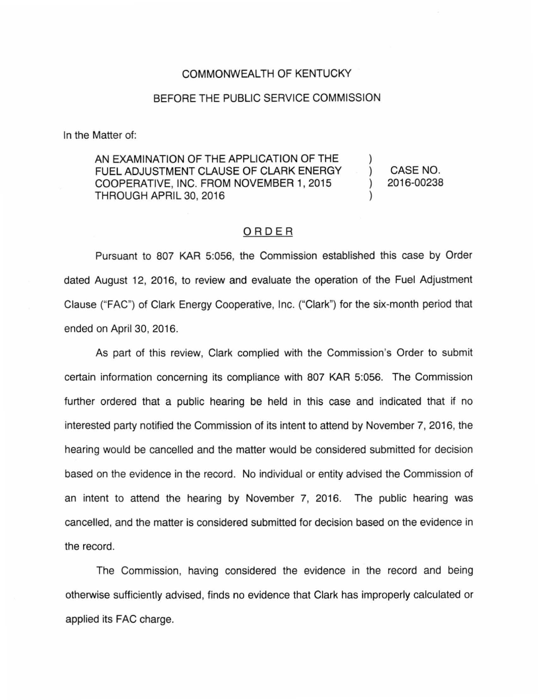## COMMONWEALTH OF KENTUCKY

## BEFORE THE PUBLIC SERVICE COMMISSION

In the Matter of:

AN EXAMINATION OF THE APPLICATION OF THE FUEL ADJUSTMENT CLAUSE OF CLARK ENERGY COOPERATIVE, INC. FROM NOVEMBER 1, 2015 THROUGH APRIL 30, 2016 ) )

) CASE NO. ) 2016-00238

## ORDER

Pursuant to 807 KAR 5:056, the Commission established this case by Order dated August 12, 2016, to review and evaluate the operation of the Fuel Adjustment Clause ("FAC") of Clark Energy Cooperative, Inc. ("Clark") for the six-month period that ended on April 30, 2016.

As part of this review, Clark complied with the Commission's Order to submit certain information concerning its compliance with 807 KAR 5:056. The Commission further ordered that a public hearing be held in this case and indicated that if no interested party notified the Commission of its intent to attend by November 7, 2016, the hearing would be cancelled and the matter would be considered submitted for decision based on the evidence in the record. No individual or entity advised the Commission of an intent to attend the hearing by November 7, 2016. The public hearing was cancelled, and the matter is considered submitted for decision based on the evidence in the record.

The Commission, having considered the evidence in the record and being otherwise sufficiently advised, finds no evidence that Clark has improperly calculated or applied its FAC charge.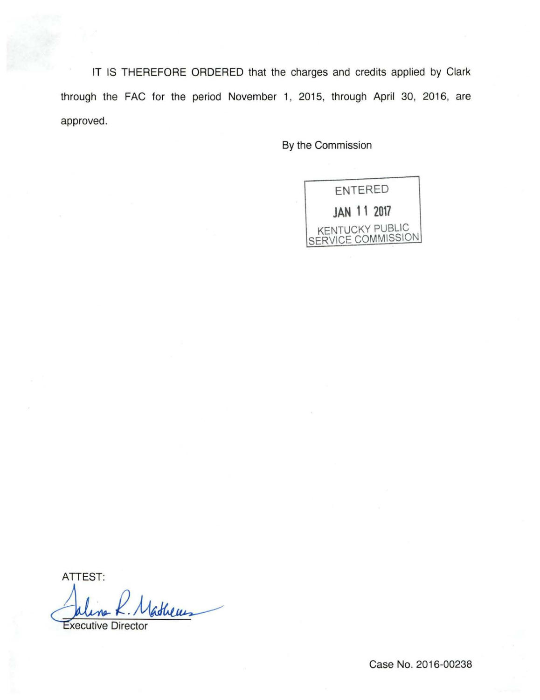IT IS THEREFORE ORDERED that the charges and credits applied by Clark through the FAC for the period November 1, 2015, through April 30, 2016, are approved.

By the Commission

ENTERED **JAN 11 2017**  KENTUCKY PUBLIC SERVICE COMMISSION

ATTEST: athems **Executive Director** 

Case No. 2016-00238